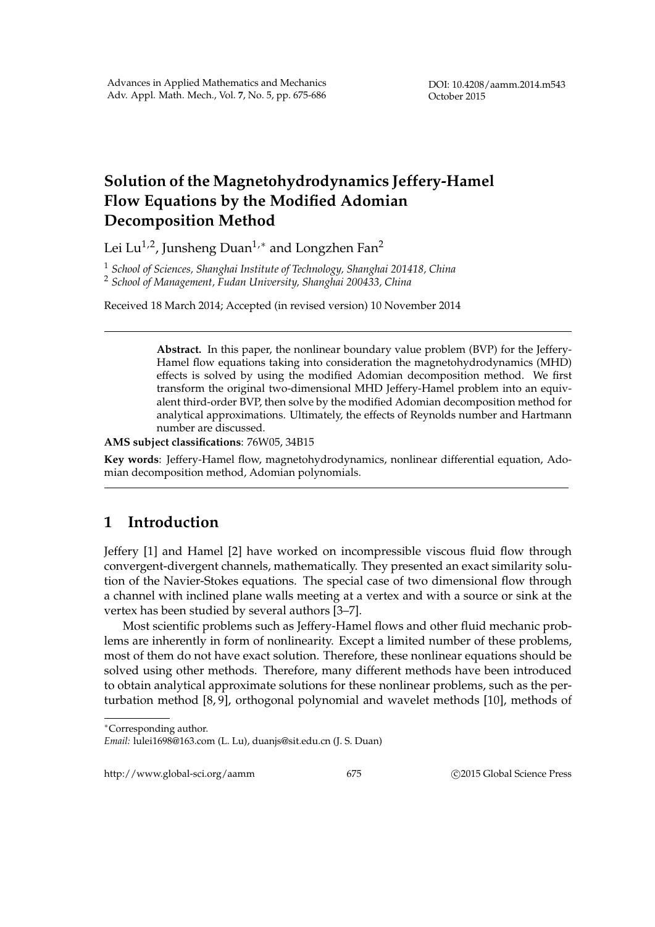## **Solution of the Magnetohydrodynamics Jeffery-Hamel Flow Equations by the Modified Adomian Decomposition Method**

Lei Lu<sup>1,2</sup>, Junsheng Duan<sup>1,∗</sup> and Longzhen Fan<sup>2</sup>

<sup>1</sup> *School of Sciences, Shanghai Institute of Technology, Shanghai 201418, China* <sup>2</sup> *School of Management, Fudan University, Shanghai 200433, China*

Received 18 March 2014; Accepted (in revised version) 10 November 2014

**Abstract.** In this paper, the nonlinear boundary value problem (BVP) for the Jeffery-Hamel flow equations taking into consideration the magnetohydrodynamics (MHD) effects is solved by using the modified Adomian decomposition method. We first transform the original two-dimensional MHD Jeffery-Hamel problem into an equivalent third-order BVP, then solve by the modified Adomian decomposition method for analytical approximations. Ultimately, the effects of Reynolds number and Hartmann number are discussed.

**AMS subject classifications**: 76W05, 34B15

**Key words**: Jeffery-Hamel flow, magnetohydrodynamics, nonlinear differential equation, Adomian decomposition method, Adomian polynomials.

## **1 Introduction**

Jeffery [1] and Hamel [2] have worked on incompressible viscous fluid flow through convergent-divergent channels, mathematically. They presented an exact similarity solution of the Navier-Stokes equations. The special case of two dimensional flow through a channel with inclined plane walls meeting at a vertex and with a source or sink at the vertex has been studied by several authors [3–7].

Most scientific problems such as Jeffery-Hamel flows and other fluid mechanic problems are inherently in form of nonlinearity. Except a limited number of these problems, most of them do not have exact solution. Therefore, these nonlinear equations should be solved using other methods. Therefore, many different methods have been introduced to obtain analytical approximate solutions for these nonlinear problems, such as the perturbation method [8, 9], orthogonal polynomial and wavelet methods [10], methods of

http://www.global-sci.org/aamm 675 **675** *Q2015 Global Science Press* 

*<sup>∗</sup>*Corresponding author.

*Email:* lulei1698@163.com (L. Lu), duanjs@sit.edu.cn (J. S. Duan)